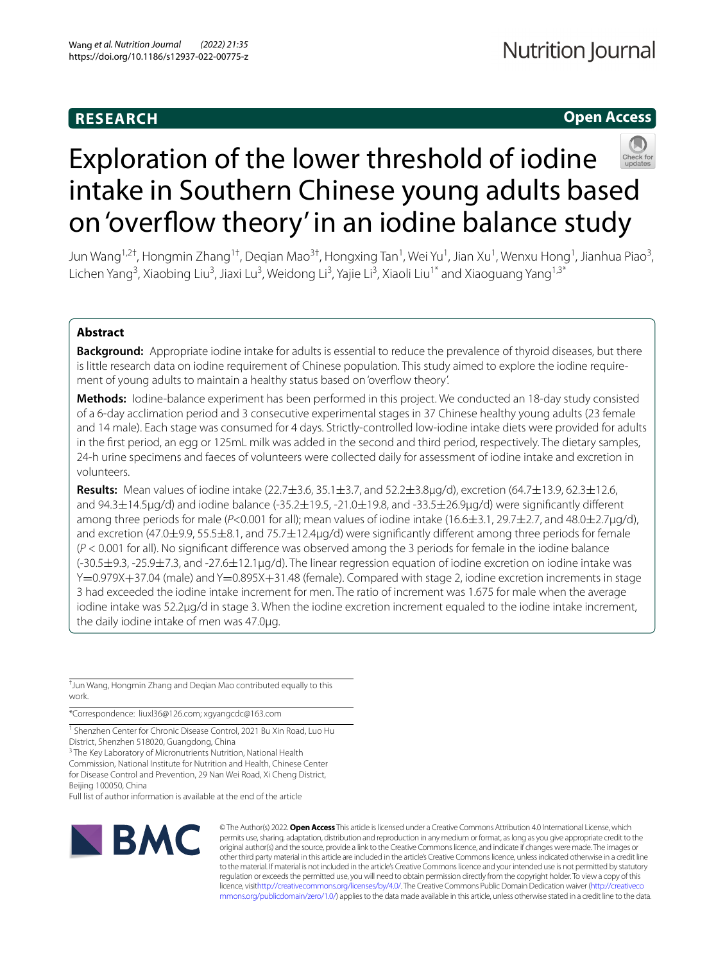# **RESEARCH**

# **Open Access**



# Exploration of the lower threshold of iodine intake in Southern Chinese young adults based on 'overfow theory' in an iodine balance study

Jun Wang<sup>1,2†</sup>, Hongmin Zhang<sup>1†</sup>, Deqian Mao<sup>3†</sup>, Hongxing Tan<sup>1</sup>, Wei Yu<sup>1</sup>, Jian Xu<sup>1</sup>, Wenxu Hong<sup>1</sup>, Jianhua Piao<sup>3</sup>, Lichen Yang<sup>3</sup>, Xiaobing Liu<sup>3</sup>, Jiaxi Lu<sup>3</sup>, Weidong Li<sup>3</sup>, Yajie Li<sup>3</sup>, Xiaoli Liu<sup>1\*</sup> and Xiaoguang Yang<sup>1,3\*</sup>

# **Abstract**

**Background:** Appropriate iodine intake for adults is essential to reduce the prevalence of thyroid diseases, but there is little research data on iodine requirement of Chinese population. This study aimed to explore the iodine requirement of young adults to maintain a healthy status based on 'overfow theory'.

**Methods:** Iodine-balance experiment has been performed in this project. We conducted an 18-day study consisted of a 6-day acclimation period and 3 consecutive experimental stages in 37 Chinese healthy young adults (23 female and 14 male). Each stage was consumed for 4 days. Strictly-controlled low-iodine intake diets were provided for adults in the frst period, an egg or 125mL milk was added in the second and third period, respectively. The dietary samples, 24-h urine specimens and faeces of volunteers were collected daily for assessment of iodine intake and excretion in volunteers.

**Results:** Mean values of iodine intake (22.7±3.6, 35.1±3.7, and 52.2±3.8μg/d), excretion (64.7±13.9, 62.3±12.6, and 94.3±14.5μg/d) and iodine balance (-35.2±19.5, -21.0±19.8, and -33.5±26.9μg/d) were signifcantly diferent among three periods for male (*P*<0.001 for all); mean values of iodine intake (16.6±3.1, 29.7±2.7, and 48.0±2.7μg/d), and excretion (47.0±9.9, 55.5±8.1, and 75.7±12.4μg/d) were signifcantly diferent among three periods for female (*P* < 0.001 for all). No signifcant diference was observed among the 3 periods for female in the iodine balance (-30.5±9.3, -25.9±7.3, and -27.6±12.1μg/d). The linear regression equation of iodine excretion on iodine intake was Y=0.979X+37.04 (male) and Y=0.895X+31.48 (female). Compared with stage 2, iodine excretion increments in stage 3 had exceeded the iodine intake increment for men. The ratio of increment was 1.675 for male when the average iodine intake was 52.2μg/d in stage 3. When the iodine excretion increment equaled to the iodine intake increment, the daily iodine intake of men was 47.0μg.

† Jun Wang, Hongmin Zhang and Deqian Mao contributed equally to this work.

\*Correspondence: liuxl36@126.com; xgyangcdc@163.com

<sup>1</sup> Shenzhen Center for Chronic Disease Control, 2021 Bu Xin Road, Luo Hu District, Shenzhen 518020, Guangdong, China

<sup>3</sup> The Key Laboratory of Micronutrients Nutrition, National Health Commission, National Institute for Nutrition and Health, Chinese Center for Disease Control and Prevention, 29 Nan Wei Road, Xi Cheng District, Beijing 100050, China

Full list of author information is available at the end of the article



© The Author(s) 2022. **Open Access** This article is licensed under a Creative Commons Attribution 4.0 International License, which permits use, sharing, adaptation, distribution and reproduction in any medium or format, as long as you give appropriate credit to the original author(s) and the source, provide a link to the Creative Commons licence, and indicate if changes were made. The images or other third party material in this article are included in the article's Creative Commons licence, unless indicated otherwise in a credit line to the material. If material is not included in the article's Creative Commons licence and your intended use is not permitted by statutory regulation or exceeds the permitted use, you will need to obtain permission directly from the copyright holder. To view a copy of this licence, visi[thttp://creativecommons.org/licenses/by/4.0/](http://creativecommons.org/licenses/by/4.0/). The Creative Commons Public Domain Dedication waiver [\(http://creativeco](http://creativecommons.org/publicdomain/zero/1.0/) [mmons.org/publicdomain/zero/1.0/](http://creativecommons.org/publicdomain/zero/1.0/)) applies to the data made available in this article, unless otherwise stated in a credit line to the data.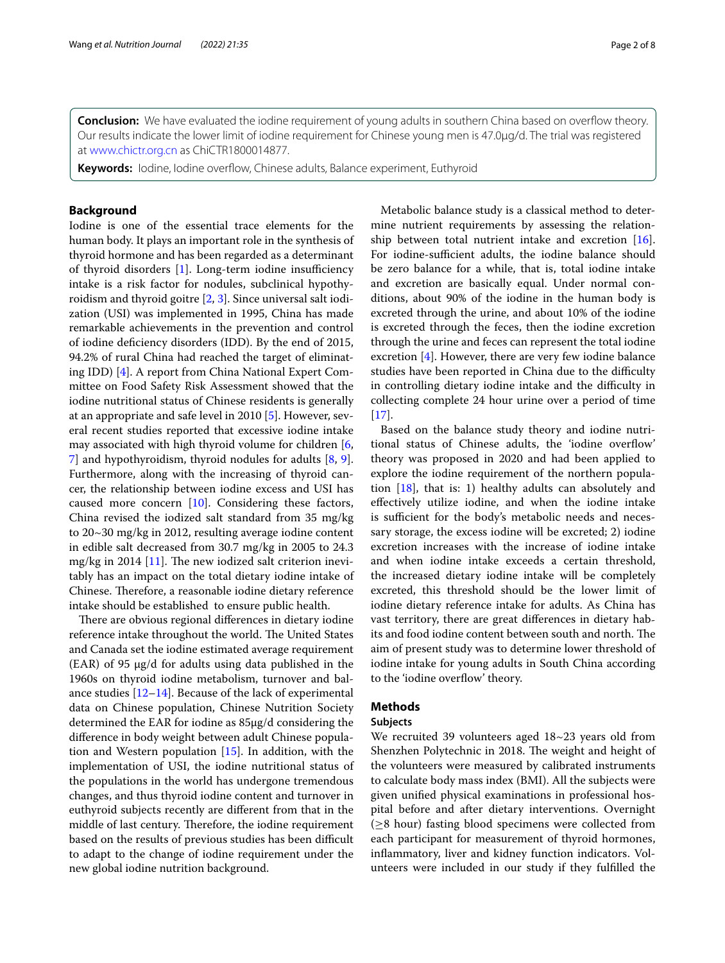Our results indicate the lower limit of iodine requirement for Chinese young men is 47.0μg/d. The trial was registered at [www.chictr.org.cn](http://www.chictr.org.cn) as ChiCTR1800014877.

**Keywords:** Iodine, Iodine overfow, Chinese adults, Balance experiment, Euthyroid

# **Background**

Iodine is one of the essential trace elements for the human body. It plays an important role in the synthesis of thyroid hormone and has been regarded as a determinant of thyroid disorders  $[1]$  $[1]$ . Long-term iodine insufficiency intake is a risk factor for nodules, subclinical hypothyroidism and thyroid goitre [\[2](#page-7-1), [3\]](#page-7-2). Since universal salt iodization (USI) was implemented in 1995, China has made remarkable achievements in the prevention and control of iodine defciency disorders (IDD). By the end of 2015, 94.2% of rural China had reached the target of eliminating IDD) [[4\]](#page-7-3). A report from China National Expert Committee on Food Safety Risk Assessment showed that the iodine nutritional status of Chinese residents is generally at an appropriate and safe level in 2010 [\[5](#page-7-4)]. However, several recent studies reported that excessive iodine intake may associated with high thyroid volume for children [\[6](#page-7-5), [7\]](#page-7-6) and hypothyroidism, thyroid nodules for adults [\[8,](#page-7-7) [9](#page-7-8)]. Furthermore, along with the increasing of thyroid cancer, the relationship between iodine excess and USI has caused more concern [[10\]](#page-7-9). Considering these factors, China revised the iodized salt standard from 35 mg/kg to 20~30 mg/kg in 2012, resulting average iodine content in edible salt decreased from 30.7 mg/kg in 2005 to 24.3 mg/kg in 2014 [\[11](#page-7-10)]. The new iodized salt criterion inevitably has an impact on the total dietary iodine intake of Chinese. Therefore, a reasonable iodine dietary reference intake should be established to ensure public health.

There are obvious regional differences in dietary iodine reference intake throughout the world. The United States and Canada set the iodine estimated average requirement (EAR) of 95 μg/d for adults using data published in the 1960s on thyroid iodine metabolism, turnover and balance studies [\[12–](#page-7-11)[14\]](#page-7-12). Because of the lack of experimental data on Chinese population, Chinese Nutrition Society determined the EAR for iodine as 85μg/d considering the diference in body weight between adult Chinese population and Western population [[15\]](#page-7-13). In addition, with the implementation of USI, the iodine nutritional status of the populations in the world has undergone tremendous changes, and thus thyroid iodine content and turnover in euthyroid subjects recently are diferent from that in the middle of last century. Therefore, the iodine requirement based on the results of previous studies has been difficult to adapt to the change of iodine requirement under the new global iodine nutrition background.

Metabolic balance study is a classical method to determine nutrient requirements by assessing the relationship between total nutrient intake and excretion [\[16](#page-7-14)]. For iodine-sufficient adults, the iodine balance should be zero balance for a while, that is, total iodine intake and excretion are basically equal. Under normal conditions, about 90% of the iodine in the human body is excreted through the urine, and about 10% of the iodine is excreted through the feces, then the iodine excretion through the urine and feces can represent the total iodine excretion [[4\]](#page-7-3). However, there are very few iodine balance studies have been reported in China due to the difficulty in controlling dietary iodine intake and the difficulty in collecting complete 24 hour urine over a period of time [[17\]](#page-7-15).

Based on the balance study theory and iodine nutritional status of Chinese adults, the 'iodine overfow' theory was proposed in 2020 and had been applied to explore the iodine requirement of the northern population  $[18]$  $[18]$ , that is: 1) healthy adults can absolutely and efectively utilize iodine, and when the iodine intake is sufficient for the body's metabolic needs and necessary storage, the excess iodine will be excreted; 2) iodine excretion increases with the increase of iodine intake and when iodine intake exceeds a certain threshold, the increased dietary iodine intake will be completely excreted, this threshold should be the lower limit of iodine dietary reference intake for adults. As China has vast territory, there are great diferences in dietary habits and food iodine content between south and north. The aim of present study was to determine lower threshold of iodine intake for young adults in South China according to the 'iodine overflow' theory.

# **Methods**

# **Subjects**

We recruited 39 volunteers aged 18~23 years old from Shenzhen Polytechnic in 2018. The weight and height of the volunteers were measured by calibrated instruments to calculate body mass index (BMI). All the subjects were given unifed physical examinations in professional hospital before and after dietary interventions. Overnight  $(\geq 8$  hour) fasting blood specimens were collected from each participant for measurement of thyroid hormones, infammatory, liver and kidney function indicators. Volunteers were included in our study if they fulflled the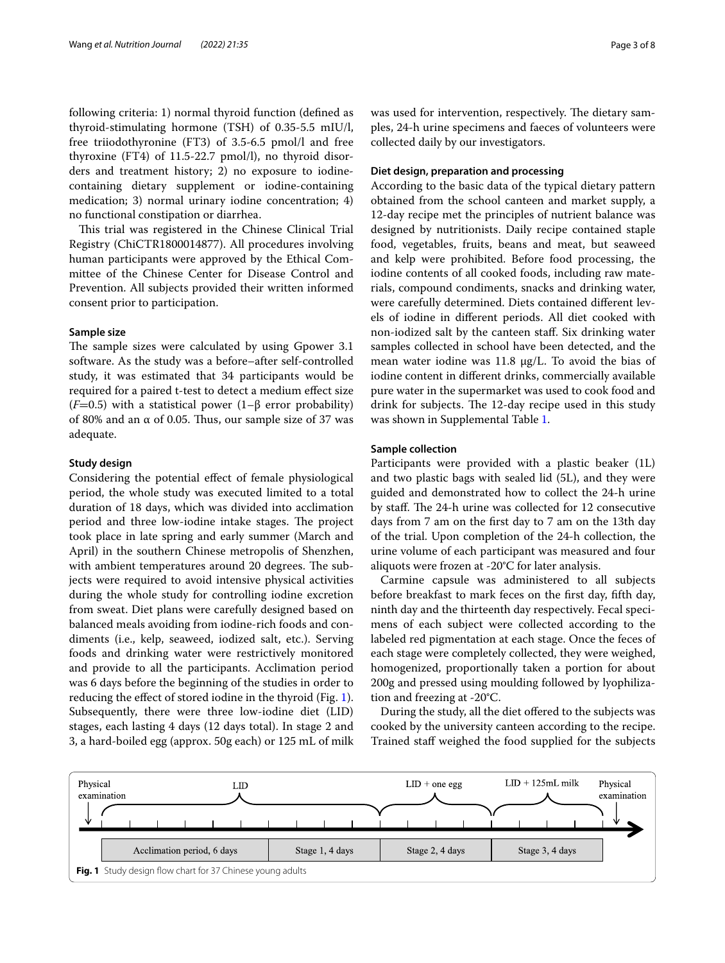following criteria: 1) normal thyroid function (defned as thyroid-stimulating hormone (TSH) of 0.35-5.5 mIU/l, free triiodothyronine (FT3) of 3.5-6.5 pmol/l and free thyroxine (FT4) of 11.5-22.7 pmol/l), no thyroid disorders and treatment history; 2) no exposure to iodinecontaining dietary supplement or iodine-containing medication; 3) normal urinary iodine concentration; 4) no functional constipation or diarrhea.

This trial was registered in the Chinese Clinical Trial Registry (ChiCTR1800014877). All procedures involving human participants were approved by the Ethical Committee of the Chinese Center for Disease Control and Prevention. All subjects provided their written informed consent prior to participation.

# **Sample size**

The sample sizes were calculated by using Gpower 3.1 software. As the study was a before–after self-controlled study, it was estimated that 34 participants would be required for a paired t-test to detect a medium efect size (*F*=0.5) with a statistical power (1–β error probability) of 80% and an  $\alpha$  of 0.05. Thus, our sample size of 37 was adequate.

# **Study design**

Considering the potential efect of female physiological period, the whole study was executed limited to a total duration of 18 days, which was divided into acclimation period and three low-iodine intake stages. The project took place in late spring and early summer (March and April) in the southern Chinese metropolis of Shenzhen, with ambient temperatures around 20 degrees. The subjects were required to avoid intensive physical activities during the whole study for controlling iodine excretion from sweat. Diet plans were carefully designed based on balanced meals avoiding from iodine-rich foods and condiments (i.e., kelp, seaweed, iodized salt, etc.). Serving foods and drinking water were restrictively monitored and provide to all the participants. Acclimation period was 6 days before the beginning of the studies in order to reducing the efect of stored iodine in the thyroid (Fig. [1](#page-2-0)). Subsequently, there were three low-iodine diet (LID) stages, each lasting 4 days (12 days total). In stage 2 and 3, a hard-boiled egg (approx. 50g each) or 125 mL of milk was used for intervention, respectively. The dietary samples, 24-h urine specimens and faeces of volunteers were collected daily by our investigators.

# **Diet design, preparation and processing**

According to the basic data of the typical dietary pattern obtained from the school canteen and market supply, a 12-day recipe met the principles of nutrient balance was designed by nutritionists. Daily recipe contained staple food, vegetables, fruits, beans and meat, but seaweed and kelp were prohibited. Before food processing, the iodine contents of all cooked foods, including raw materials, compound condiments, snacks and drinking water, were carefully determined. Diets contained diferent levels of iodine in diferent periods. All diet cooked with non-iodized salt by the canteen staf. Six drinking water samples collected in school have been detected, and the mean water iodine was 11.8 μg/L. To avoid the bias of iodine content in diferent drinks, commercially available pure water in the supermarket was used to cook food and drink for subjects. The 12-day recipe used in this study was shown in Supplemental Table [1.](#page-6-0)

# **Sample collection**

Participants were provided with a plastic beaker (1L) and two plastic bags with sealed lid (5L), and they were guided and demonstrated how to collect the 24-h urine by staff. The 24-h urine was collected for 12 consecutive days from 7 am on the frst day to 7 am on the 13th day of the trial. Upon completion of the 24-h collection, the urine volume of each participant was measured and four aliquots were frozen at -20°C for later analysis.

Carmine capsule was administered to all subjects before breakfast to mark feces on the frst day, ffth day, ninth day and the thirteenth day respectively. Fecal specimens of each subject were collected according to the labeled red pigmentation at each stage. Once the feces of each stage were completely collected, they were weighed, homogenized, proportionally taken a portion for about 200g and pressed using moulding followed by lyophilization and freezing at -20°C.

During the study, all the diet offered to the subjects was cooked by the university canteen according to the recipe. Trained staf weighed the food supplied for the subjects

<span id="page-2-0"></span>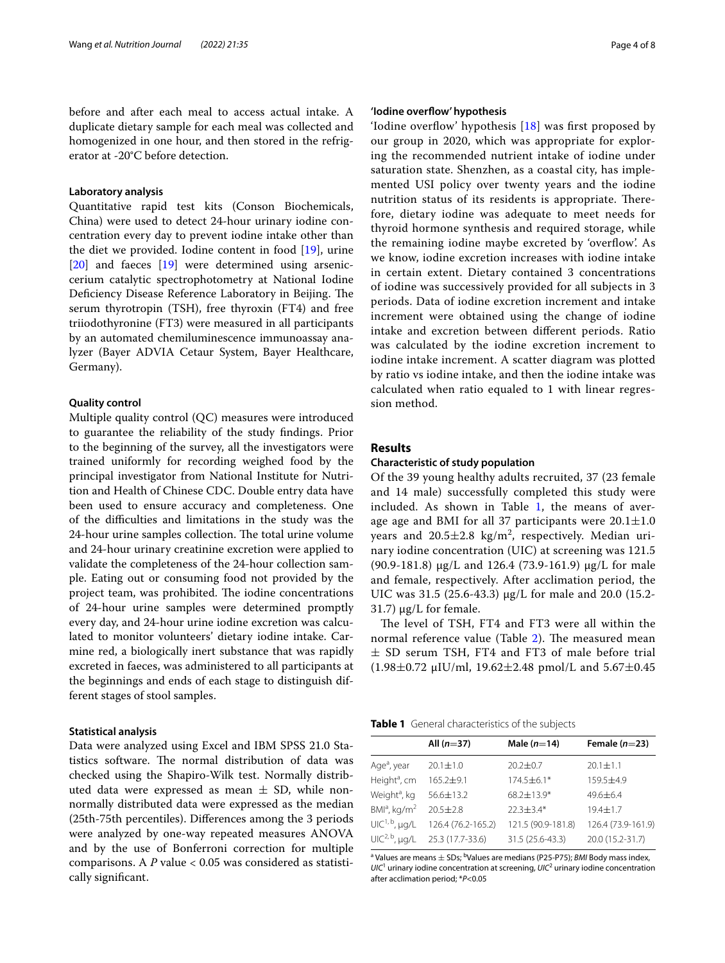before and after each meal to access actual intake. A duplicate dietary sample for each meal was collected and homogenized in one hour, and then stored in the refrigerator at -20°C before detection.

## **Laboratory analysis**

Quantitative rapid test kits (Conson Biochemicals, China) were used to detect 24-hour urinary iodine concentration every day to prevent iodine intake other than the diet we provided. Iodine content in food [\[19](#page-7-17)], urine [[20\]](#page-7-18) and faeces [\[19](#page-7-17)] were determined using arseniccerium catalytic spectrophotometry at National Iodine Deficiency Disease Reference Laboratory in Beijing. The serum thyrotropin (TSH), free thyroxin (FT4) and free triiodothyronine (FT3) were measured in all participants by an automated chemiluminescence immunoassay analyzer (Bayer ADVIA Cetaur System, Bayer Healthcare, Germany).

## **Quality control**

Multiple quality control (QC) measures were introduced to guarantee the reliability of the study fndings. Prior to the beginning of the survey, all the investigators were trained uniformly for recording weighed food by the principal investigator from National Institute for Nutrition and Health of Chinese CDC. Double entry data have been used to ensure accuracy and completeness. One of the difculties and limitations in the study was the 24-hour urine samples collection. The total urine volume and 24-hour urinary creatinine excretion were applied to validate the completeness of the 24-hour collection sample. Eating out or consuming food not provided by the project team, was prohibited. The iodine concentrations of 24-hour urine samples were determined promptly every day, and 24-hour urine iodine excretion was calculated to monitor volunteers' dietary iodine intake. Carmine red, a biologically inert substance that was rapidly excreted in faeces, was administered to all participants at the beginnings and ends of each stage to distinguish different stages of stool samples.

## **Statistical analysis**

Data were analyzed using Excel and IBM SPSS 21.0 Statistics software. The normal distribution of data was checked using the Shapiro-Wilk test. Normally distributed data were expressed as mean  $\pm$  SD, while nonnormally distributed data were expressed as the median (25th-75th percentiles). Diferences among the 3 periods were analyzed by one-way repeated measures ANOVA and by the use of Bonferroni correction for multiple comparisons. A *P* value < 0.05 was considered as statistically signifcant.

## **'Iodine overfow' hypothesis**

'Iodine overflow' hypothesis  $[18]$  $[18]$  was first proposed by our group in 2020, which was appropriate for exploring the recommended nutrient intake of iodine under saturation state. Shenzhen, as a coastal city, has implemented USI policy over twenty years and the iodine nutrition status of its residents is appropriate. Therefore, dietary iodine was adequate to meet needs for thyroid hormone synthesis and required storage, while the remaining iodine maybe excreted by 'overflow'. As we know, iodine excretion increases with iodine intake in certain extent. Dietary contained 3 concentrations of iodine was successively provided for all subjects in 3 periods. Data of iodine excretion increment and intake increment were obtained using the change of iodine intake and excretion between diferent periods. Ratio was calculated by the iodine excretion increment to iodine intake increment. A scatter diagram was plotted by ratio vs iodine intake, and then the iodine intake was calculated when ratio equaled to 1 with linear regression method.

# **Results**

# **Characteristic of study population**

Of the 39 young healthy adults recruited, 37 (23 female and 14 male) successfully completed this study were included. As shown in Table [1](#page-3-0), the means of average age and BMI for all 37 participants were  $20.1 \pm 1.0$ years and  $20.5 \pm 2.8$  kg/m<sup>2</sup>, respectively. Median urinary iodine concentration (UIC) at screening was 121.5 (90.9-181.8) μg/L and 126.4 (73.9-161.9) μg/L for male and female, respectively. After acclimation period, the UIC was 31.5 (25.6-43.3) μg/L for male and 20.0 (15.2- 31.7) μg/L for female.

The level of TSH, FT4 and FT3 were all within the normal reference value (Table [2](#page-4-0)). The measured mean  $\pm$  SD serum TSH, FT4 and FT3 of male before trial (1.98 $\pm$ 0.72 µIU/ml, 19.62 $\pm$ 2.48 pmol/L and 5.67 $\pm$ 0.45

<span id="page-3-0"></span>

| Table 1 General characteristics of the subjects |
|-------------------------------------------------|
|-------------------------------------------------|

|                            | All $(n=37)$       | Male $(n=14)$      | Female $(n=23)$    |
|----------------------------|--------------------|--------------------|--------------------|
|                            |                    |                    |                    |
| Age <sup>a</sup> , year    | $20.1 + 1.0$       | $20.2 \pm 0.7$     | $20.1 \pm 1.1$     |
| Height <sup>a</sup> , cm   | $165.2 + 9.1$      | 174.5±6.1*         | $159.5 + 4.9$      |
| Weight <sup>a</sup> , kg   | 56.6±13.2          | 68.2±13.9*         | $49.6 + 6.4$       |
| $BMla$ , kg/m <sup>2</sup> | $20.5 \pm 2.8$     | $22.3 + 3.4*$      | $19.4 \pm 1.7$     |
| $UIC1, b, \mu g/L$         | 126.4 (76.2-165.2) | 121.5 (90.9-181.8) | 126.4 (73.9-161.9) |
| $UIC2, b$ , µg/L           | 25.3 (17.7-33.6)   | 31.5 (25.6-43.3)   | 20.0 (15.2-31.7)   |

<sup>a</sup> Values are means  $\pm$  SDs; <sup>b</sup>Values are medians (P25-P75); *BMI* Body mass index,  $UIC<sup>1</sup>$  urinary iodine concentration at screening,  $UIC<sup>2</sup>$  urinary iodine concentration after acclimation period; \**P*<0.05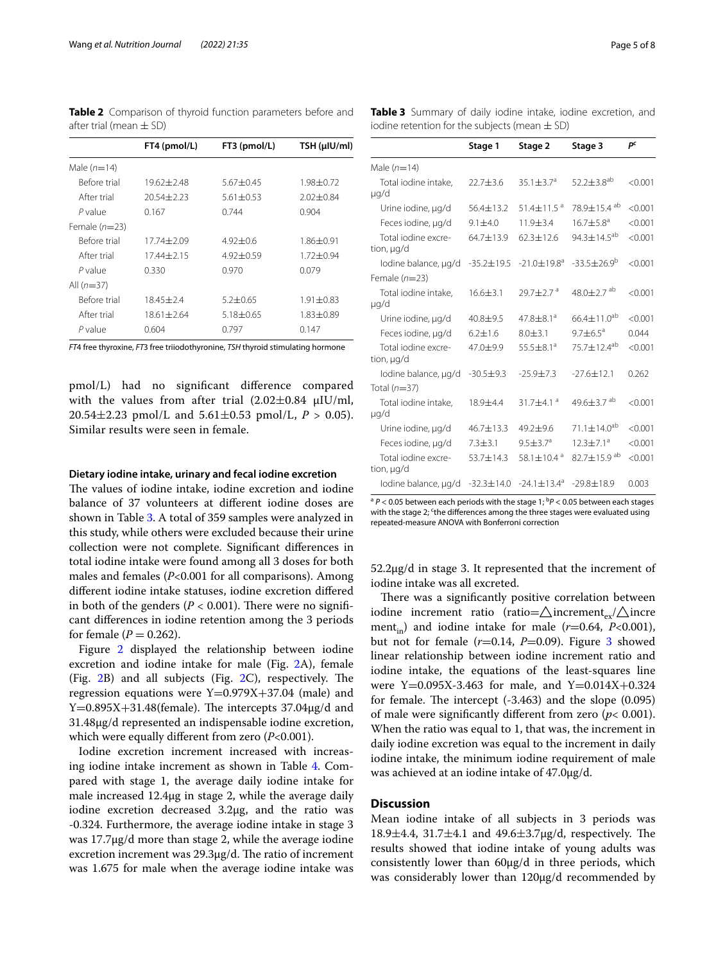<span id="page-4-0"></span>**Table 2** Comparison of thyroid function parameters before and after trial (mean  $\pm$  SD)

|                 | FT4 (pmol/L)   | FT3 (pmol/L)  | TSH (µIU/ml)  |
|-----------------|----------------|---------------|---------------|
| Male $(n=14)$   |                |               |               |
| Before trial    | $19.62 + 2.48$ | $5.67 + 0.45$ | $1.98 + 0.72$ |
| After trial     | $20.54 + 2.23$ | $5.61 + 0.53$ | $2.02 + 0.84$ |
| P value         | 0.167          | 0.744         | 0.904         |
| Female $(n=23)$ |                |               |               |
| Before trial    | 17.74 + 2.09   | $4.92 + 0.6$  | 1.86±0.91     |
| After trial     | 1744+215       | $4.92 + 0.59$ | $1.72 + 0.94$ |
| P value         | 0.330          | 0.970         | 0.079         |
| All $(n=37)$    |                |               |               |
| Before trial    | $18.45 + 2.4$  | $5.2 + 0.65$  | $1.91 + 0.83$ |
| After trial     | $18.61 + 2.64$ | $5.18 + 0.65$ | 1.83+0.89     |
| P value         | 0.604          | 0.797         | 0.147         |

*FT*4 free thyroxine, *FT*3 free triiodothyronine, *TSH* thyroid stimulating hormone

pmol/L) had no signifcant diference compared with the values from after trial  $(2.02\pm0.84 \text{ µIU/ml})$ , 20.54 $\pm$ 2.23 pmol/L and 5.61 $\pm$ 0.53 pmol/L,  $P > 0.05$ ). Similar results were seen in female.

## **Dietary iodine intake, urinary and fecal iodine excretion**

The values of iodine intake, iodine excretion and iodine balance of 37 volunteers at diferent iodine doses are shown in Table [3.](#page-4-1) A total of 359 samples were analyzed in this study, while others were excluded because their urine collection were not complete. Signifcant diferences in total iodine intake were found among all 3 doses for both males and females (*P*<0.001 for all comparisons). Among diferent iodine intake statuses, iodine excretion difered in both of the genders  $(P < 0.001)$ . There were no significant diferences in iodine retention among the 3 periods for female  $(P = 0.262)$ .

Figure [2](#page-5-0) displayed the relationship between iodine excretion and iodine intake for male (Fig. [2A](#page-5-0)), female (Fig.  $2B$  $2B$ ) and all subjects (Fig.  $2C$ ), respectively. The regression equations were  $Y=0.979X+37.04$  (male) and  $Y=0.895X+31.48$ (female). The intercepts 37.04 $\mu$ g/d and 31.48μg/d represented an indispensable iodine excretion, which were equally diferent from zero (*P*<0.001).

Iodine excretion increment increased with increasing iodine intake increment as shown in Table [4](#page-5-1). Compared with stage 1, the average daily iodine intake for male increased 12.4μg in stage 2, while the average daily iodine excretion decreased 3.2μg, and the ratio was -0.324. Furthermore, the average iodine intake in stage 3 was 17.7μg/d more than stage 2, while the average iodine excretion increment was  $29.3\mu g/d$ . The ratio of increment was 1.675 for male when the average iodine intake was

<span id="page-4-1"></span>**Table 3** Summary of daily iodine intake, iodine excretion, and iodine retention for the subjects (mean  $\pm$  SD)

|                                   | Stage 1          | Stage 2                                                         | Stage 3                       | pc      |
|-----------------------------------|------------------|-----------------------------------------------------------------|-------------------------------|---------|
| Male $(n=14)$                     |                  |                                                                 |                               |         |
| Total iodine intake,<br>µg/d      | 22.7±3.6         | 35.1 $\pm$ 3.7 <sup>a</sup>                                     | 52.2 $\pm$ 3.8 <sup>ab</sup>  | < 0.001 |
| Urine iodine, µg/d                | $56.4 + 13.2$    | $51.4 + 11.5$ <sup>a</sup>                                      | 78.9±15.4 ab                  | < 0.001 |
| Feces iodine, µg/d                | $9.1 + 4.0$      | 11.9±3.4                                                        | $16.7 \pm 5.8^{\circ}$        | < 0.001 |
| Total jodine excre-<br>tion, µg/d | 64.7±13.9        | $62.3 \pm 12.6$                                                 | 94.3 $\pm$ 14.5 <sup>ab</sup> | < 0.001 |
| lodine balance, µg/d              | $-35.2 \pm 19.5$ | $-21.0 + 19.8$ <sup>a</sup>                                     | $-33.5+26.9^{b}$              | < 0.001 |
| Female $(n=23)$                   |                  |                                                                 |                               |         |
| Total iodine intake,<br>µg/d      | $16.6 + 3.1$     | $29.7 + 2.7$ <sup>a</sup>                                       | $48.0 + 2.7$ <sup>ab</sup>    | < 0.001 |
| Urine iodine, µg/d                | 40.8±9.5         | $47.8 + 8.1a$                                                   | $66.4 \pm 11.0^{ab}$          | < 0.001 |
| Feces iodine, µq/d                | $6.2 + 1.6$      | $8.0 + 3.1$                                                     | $9.7 + 6.5^a$                 | 0.044   |
| Total jodine excre-<br>tion, µg/d | $47.0 + 9.9$     | $55.5 + 8.1a$                                                   | $75.7 + 12.4^{ab}$            | < 0.001 |
| lodine balance, µg/d              | $-30.5 \pm 9.3$  | $-25.9 \pm 7.3$                                                 | $-27.6 \pm 12.1$              | 0.262   |
| Total $(n=37)$                    |                  |                                                                 |                               |         |
| Total iodine intake,<br>µg/d      | $18.9 + 4.4$     | $31.7 + 4.1$ <sup>a</sup>                                       | 49.6 $\pm$ 3.7 ab             | < 0.001 |
| Urine iodine, µg/d                | 46.7±13.3        | $49.2 + 9.6$                                                    | $71.1 + 14.0^{ab}$            | < 0.001 |
| Feces iodine, µg/d                | $7.3 + 3.1$      | $9.5 + 3.7a$                                                    | $12.3 + 7.1a$                 | < 0.001 |
| Total jodine excre-<br>tion, µg/d | 53.7±14.3        | 58.1 $\pm$ 10.4 $a$                                             | $82.7 + 15.9$ <sup>ab</sup>   | < 0.001 |
| lodine balance, µg/d              |                  | $-32.3 \pm 14.0$ $-24.1 \pm 13.4$ <sup>a</sup> $-29.8 \pm 18.9$ |                               | 0.003   |

<sup>a</sup> P < 0.05 between each periods with the stage 1; <sup>b</sup>P < 0.05 between each stages with the stage 2; <sup>c</sup>the differences among the three stages were evaluated using repeated-measure ANOVA with Bonferroni correction

52.2μg/d in stage 3. It represented that the increment of iodine intake was all excreted.

There was a significantly positive correlation between iodine increment ratio (ratio= $\triangle$ increment<sub>ex</sub>/ $\triangle$ incre ment<sub>in</sub>) and iodine intake for male  $(r=0.64, P<0.001)$ , but not for female  $(r=0.14, P=0.09)$ . Figure [3](#page-5-2) showed linear relationship between iodine increment ratio and iodine intake, the equations of the least-squares line were Y=0.095X-3.463 for male, and Y=0.014X+0.324 for female. The intercept  $(-3.463)$  and the slope  $(0.095)$ of male were significantly different from zero ( $p$ < 0.001). When the ratio was equal to 1, that was, the increment in daily iodine excretion was equal to the increment in daily iodine intake, the minimum iodine requirement of male was achieved at an iodine intake of 47.0μg/d.

# **Discussion**

Mean iodine intake of all subjects in 3 periods was  $18.9 \pm 4.4$ ,  $31.7 \pm 4.1$  and  $49.6 \pm 3.7 \mu$ g/d, respectively. The results showed that iodine intake of young adults was consistently lower than 60μg/d in three periods, which was considerably lower than 120μg/d recommended by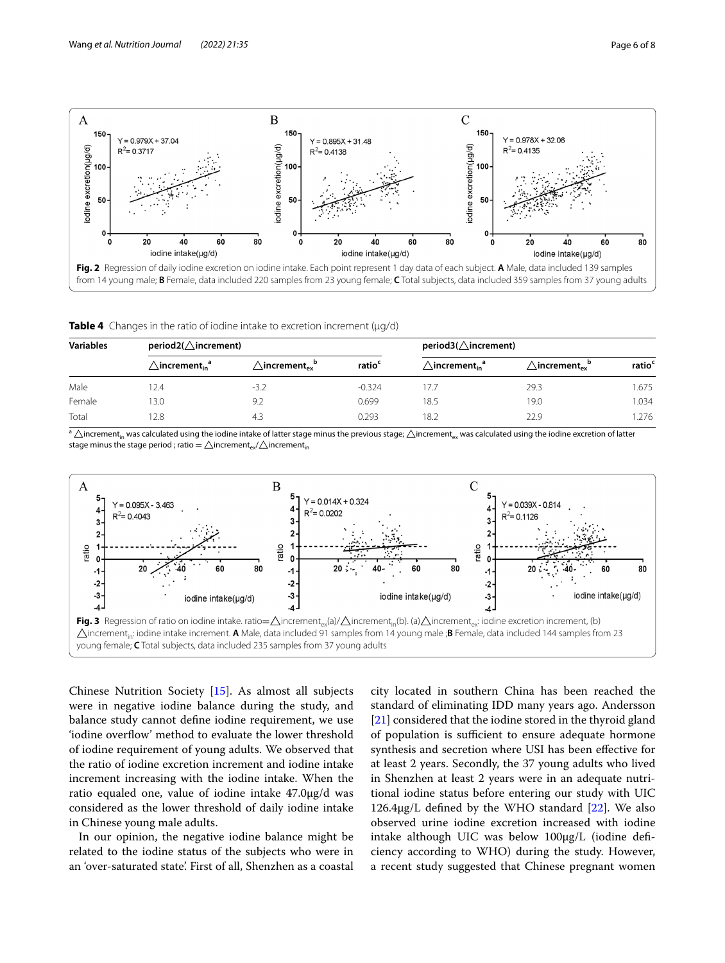

<span id="page-5-1"></span><span id="page-5-0"></span>

| <b>Variables</b> | $period2(\triangle increment)$              |                                                       |                    | $period3(\triangle increment)$                   |                                                     |                    |
|------------------|---------------------------------------------|-------------------------------------------------------|--------------------|--------------------------------------------------|-----------------------------------------------------|--------------------|
|                  | $\triangle$ increment $_{\sf in}{}^{\sf a}$ | $\triangle$ increment $_{\mathsf{ev}}{}^{\mathsf{b}}$ | ratio <sup>c</sup> | $\triangle$ increment <sub>in</sub> <sup>a</sup> | $\triangle$ increment $_{\mathsf{ex}}^{\mathsf{p}}$ | ratio <sup>c</sup> |
| Male             | 2.4                                         | $-3.2$                                                | $-0.324$           | 17.7                                             | 29.3                                                | 1.675              |
| Female           | 3.0                                         | 9.2                                                   | 0.699              | 18.5                                             | 19.0                                                | 1.034              |
| Total            | 2.8                                         | 4.3                                                   | 0.293              | 18.2                                             | 22.9                                                | .276               |

 $a \triangle$ increment<sub>in</sub> was calculated using the iodine intake of latter stage minus the previous stage;  $\triangle$ increment<sub>ex</sub> was calculated using the iodine excretion of latter stage minus the stage period ; ratio =  $\triangle$ increment<sub>ex</sub>/ $\triangle$ increment<sub>in</sub>



<span id="page-5-2"></span>Chinese Nutrition Society [[15](#page-7-13)]. As almost all subjects were in negative iodine balance during the study, and balance study cannot defne iodine requirement, we use 'iodine overfow' method to evaluate the lower threshold of iodine requirement of young adults. We observed that the ratio of iodine excretion increment and iodine intake increment increasing with the iodine intake. When the ratio equaled one, value of iodine intake 47.0μg/d was considered as the lower threshold of daily iodine intake in Chinese young male adults.

In our opinion, the negative iodine balance might be related to the iodine status of the subjects who were in an 'over-saturated state'. First of all, Shenzhen as a coastal city located in southern China has been reached the standard of eliminating IDD many years ago. Andersson [[21\]](#page-7-19) considered that the iodine stored in the thyroid gland of population is sufficient to ensure adequate hormone synthesis and secretion where USI has been efective for at least 2 years. Secondly, the 37 young adults who lived in Shenzhen at least 2 years were in an adequate nutritional iodine status before entering our study with UIC 126.4μg/L defined by the WHO standard  $[22]$  $[22]$ . We also observed urine iodine excretion increased with iodine intake although UIC was below 100μg/L (iodine defciency according to WHO) during the study. However, a recent study suggested that Chinese pregnant women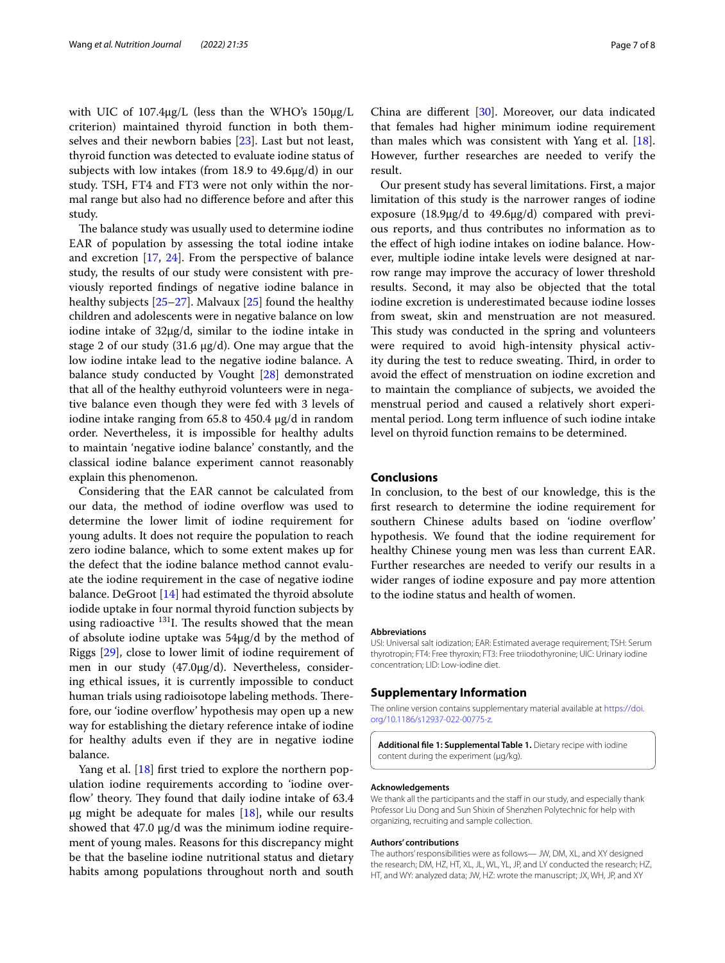with UIC of 107.4μg/L (less than the WHO's 150μg/L criterion) maintained thyroid function in both themselves and their newborn babies [[23](#page-7-21)]. Last but not least, thyroid function was detected to evaluate iodine status of subjects with low intakes (from 18.9 to 49.6μg/d) in our study. TSH, FT4 and FT3 were not only within the normal range but also had no diference before and after this study.

The balance study was usually used to determine iodine EAR of population by assessing the total iodine intake and excretion [[17](#page-7-15), [24](#page-7-22)]. From the perspective of balance study, the results of our study were consistent with previously reported fndings of negative iodine balance in healthy subjects [[25–](#page-7-23)[27\]](#page-7-24). Malvaux [[25\]](#page-7-23) found the healthy children and adolescents were in negative balance on low iodine intake of 32μg/d, similar to the iodine intake in stage 2 of our study (31.6 μg/d). One may argue that the low iodine intake lead to the negative iodine balance. A balance study conducted by Vought [[28](#page-7-25)] demonstrated that all of the healthy euthyroid volunteers were in negative balance even though they were fed with 3 levels of iodine intake ranging from 65.8 to 450.4 μg/d in random order. Nevertheless, it is impossible for healthy adults to maintain 'negative iodine balance' constantly, and the classical iodine balance experiment cannot reasonably explain this phenomenon.

Considering that the EAR cannot be calculated from our data, the method of iodine overfow was used to determine the lower limit of iodine requirement for young adults. It does not require the population to reach zero iodine balance, which to some extent makes up for the defect that the iodine balance method cannot evaluate the iodine requirement in the case of negative iodine balance. DeGroot [\[14\]](#page-7-12) had estimated the thyroid absolute iodide uptake in four normal thyroid function subjects by using radioactive  $131$ . The results showed that the mean of absolute iodine uptake was 54μg/d by the method of Riggs [\[29](#page-7-26)], close to lower limit of iodine requirement of men in our study (47.0μg/d). Nevertheless, considering ethical issues, it is currently impossible to conduct human trials using radioisotope labeling methods. Therefore, our 'iodine overfow' hypothesis may open up a new way for establishing the dietary reference intake of iodine for healthy adults even if they are in negative iodine balance.

Yang et al. [[18](#page-7-16)] first tried to explore the northern population iodine requirements according to 'iodine overflow' theory. They found that daily iodine intake of 63.4 μg might be adequate for males  $[18]$ , while our results showed that 47.0 μg/d was the minimum iodine requirement of young males. Reasons for this discrepancy might be that the baseline iodine nutritional status and dietary habits among populations throughout north and south

China are diferent [[30](#page-7-27)]. Moreover, our data indicated that females had higher minimum iodine requirement than males which was consistent with Yang et al. [\[18](#page-7-16)]. However, further researches are needed to verify the result.

Our present study has several limitations. First, a major limitation of this study is the narrower ranges of iodine exposure (18.9μg/d to 49.6μg/d) compared with previous reports, and thus contributes no information as to the effect of high iodine intakes on iodine balance. However, multiple iodine intake levels were designed at narrow range may improve the accuracy of lower threshold results. Second, it may also be objected that the total iodine excretion is underestimated because iodine losses from sweat, skin and menstruation are not measured. This study was conducted in the spring and volunteers were required to avoid high-intensity physical activity during the test to reduce sweating. Third, in order to avoid the efect of menstruation on iodine excretion and to maintain the compliance of subjects, we avoided the menstrual period and caused a relatively short experimental period. Long term infuence of such iodine intake level on thyroid function remains to be determined.

# **Conclusions**

In conclusion, to the best of our knowledge, this is the frst research to determine the iodine requirement for southern Chinese adults based on 'iodine overflow' hypothesis. We found that the iodine requirement for healthy Chinese young men was less than current EAR. Further researches are needed to verify our results in a wider ranges of iodine exposure and pay more attention to the iodine status and health of women.

#### **Abbreviations**

USI: Universal salt iodization; EAR: Estimated average requirement; TSH: Serum thyrotropin; FT4: Free thyroxin; FT3: Free triiodothyronine; UIC: Urinary iodine concentration; LID: Low-iodine diet.

## **Supplementary Information**

The online version contains supplementary material available at [https://doi.](https://doi.org/10.1186/s12937-022-00775-z) [org/10.1186/s12937-022-00775-z.](https://doi.org/10.1186/s12937-022-00775-z)

<span id="page-6-0"></span>**Additional fle 1: Supplemental Table 1.** Dietary recipe with iodine content during the experiment (μg/kg).

### **Acknowledgements**

We thank all the participants and the staff in our study, and especially thank Professor Liu Dong and Sun Shixin of Shenzhen Polytechnic for help with organizing, recruiting and sample collection.

### **Authors' contributions**

The authors' responsibilities were as follows— JW, DM, XL, and XY designed the research; DM, HZ, HT, XL, JL, WL, YL, JP, and LY conducted the research; HZ, HT, and WY: analyzed data; JW, HZ: wrote the manuscript; JX, WH, JP, and XY